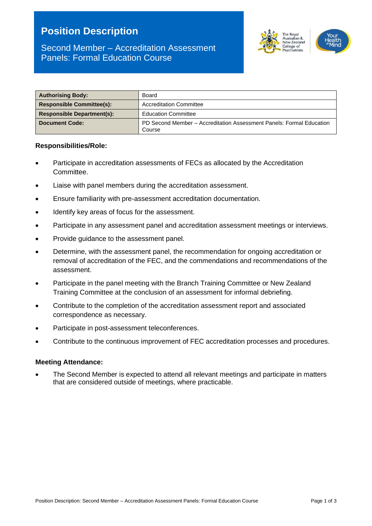# **Position Description**

#### The Royal  $ustralian$   $8$ w Zeala ollege of

## Second Member – Accreditation Assessment Panels: Formal Education Course

| <b>Authorising Body:</b>          | Board                                                                          |  |
|-----------------------------------|--------------------------------------------------------------------------------|--|
| <b>Responsible Committee(s):</b>  | <b>Accreditation Committee</b>                                                 |  |
| <b>Responsible Department(s):</b> | <b>Education Committee</b>                                                     |  |
| <b>Document Code:</b>             | PD Second Member – Accreditation Assessment Panels: Formal Education<br>Course |  |

#### **Responsibilities/Role:**

- Participate in accreditation assessments of FECs as allocated by the Accreditation Committee.
- Liaise with panel members during the accreditation assessment.
- Ensure familiarity with pre-assessment accreditation documentation.
- Identify key areas of focus for the assessment.
- Participate in any assessment panel and accreditation assessment meetings or interviews.
- Provide guidance to the assessment panel.
- Determine, with the assessment panel, the recommendation for ongoing accreditation or removal of accreditation of the FEC, and the commendations and recommendations of the assessment.
- Participate in the panel meeting with the Branch Training Committee or New Zealand Training Committee at the conclusion of an assessment for informal debriefing.
- Contribute to the completion of the accreditation assessment report and associated correspondence as necessary.
- Participate in post-assessment teleconferences.
- Contribute to the continuous improvement of FEC accreditation processes and procedures.

#### **Meeting Attendance:**

• The Second Member is expected to attend all relevant meetings and participate in matters that are considered outside of meetings, where practicable.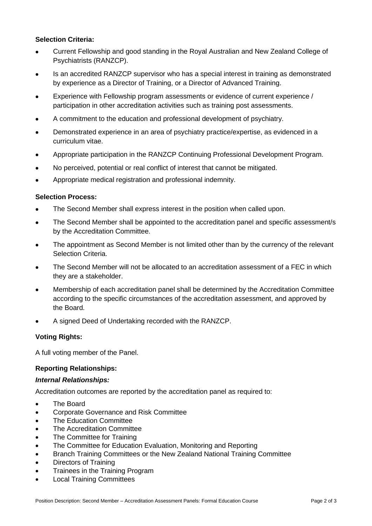### **Selection Criteria:**

- Current Fellowship and good standing in the Royal Australian and New Zealand College of Psychiatrists (RANZCP).
- Is an accredited RANZCP supervisor who has a special interest in training as demonstrated by experience as a Director of Training, or a Director of Advanced Training.
- Experience with Fellowship program assessments or evidence of current experience / participation in other accreditation activities such as training post assessments.
- A commitment to the education and professional development of psychiatry.
- Demonstrated experience in an area of psychiatry practice/expertise, as evidenced in a curriculum vitae.
- Appropriate participation in the RANZCP Continuing Professional Development Program.
- No perceived, potential or real conflict of interest that cannot be mitigated.
- Appropriate medical registration and professional indemnity.

#### **Selection Process:**

- The Second Member shall express interest in the position when called upon.
- The Second Member shall be appointed to the accreditation panel and specific assessment/s by the Accreditation Committee.
- The appointment as Second Member is not limited other than by the currency of the relevant Selection Criteria.
- The Second Member will not be allocated to an accreditation assessment of a FEC in which they are a stakeholder.
- Membership of each accreditation panel shall be determined by the Accreditation Committee according to the specific circumstances of the accreditation assessment, and approved by the Board.
- A signed Deed of Undertaking recorded with the RANZCP.

#### **Voting Rights:**

A full voting member of the Panel.

#### **Reporting Relationships:**

#### *Internal Relationships:*

Accreditation outcomes are reported by the accreditation panel as required to:

- The Board
- Corporate Governance and Risk Committee
- The Education Committee
- The Accreditation Committee
- The Committee for Training
- The Committee for Education Evaluation, Monitoring and Reporting
- Branch Training Committees or the New Zealand National Training Committee
- Directors of Training
- Trainees in the Training Program
- Local Training Committees